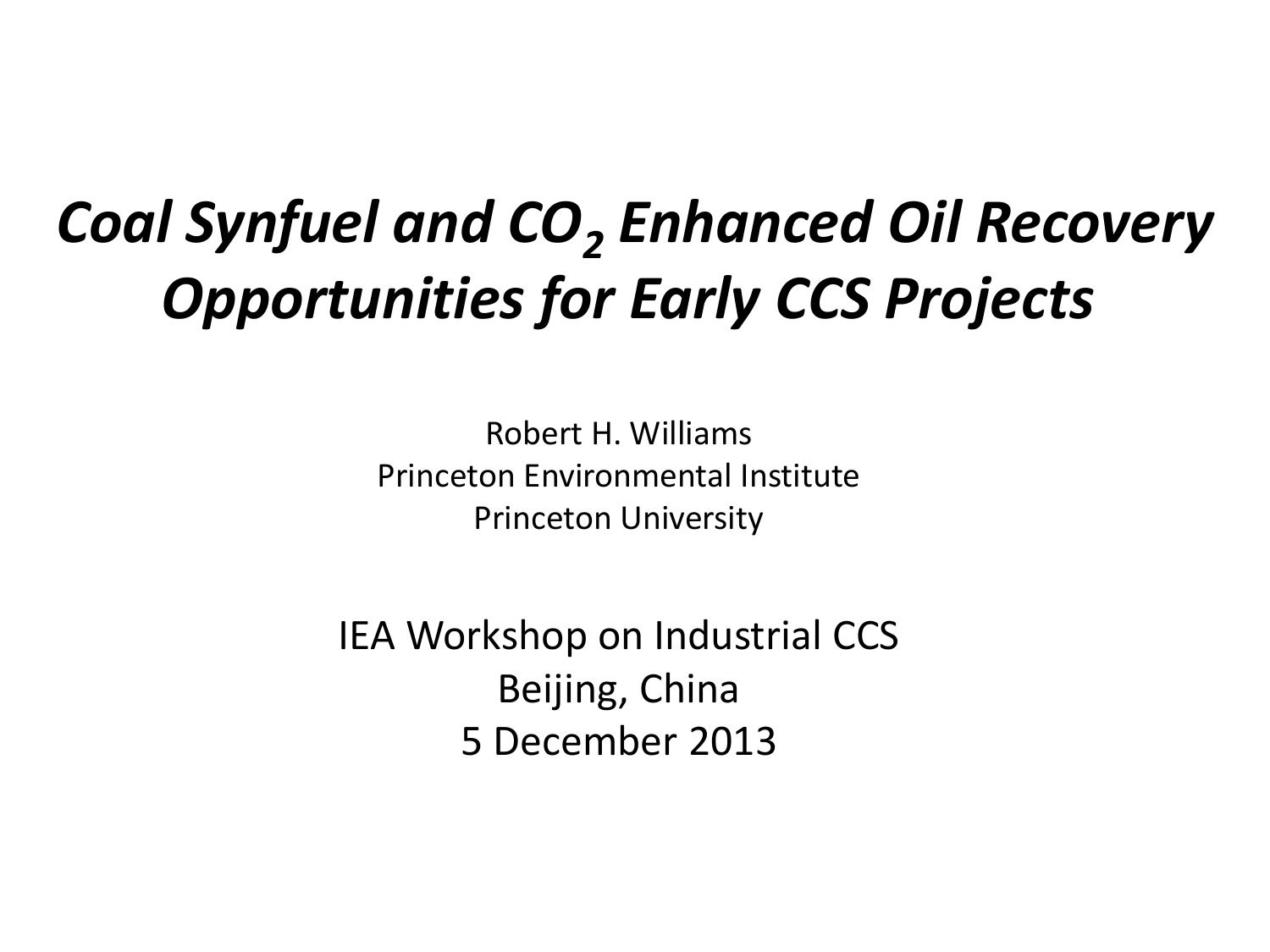## *Coal Synfuel and CO<sup>2</sup> Enhanced Oil Recovery Opportunities for Early CCS Projects*

Robert H. Williams Princeton Environmental Institute Princeton University

IEA Workshop on Industrial CCS Beijing, China 5 December 2013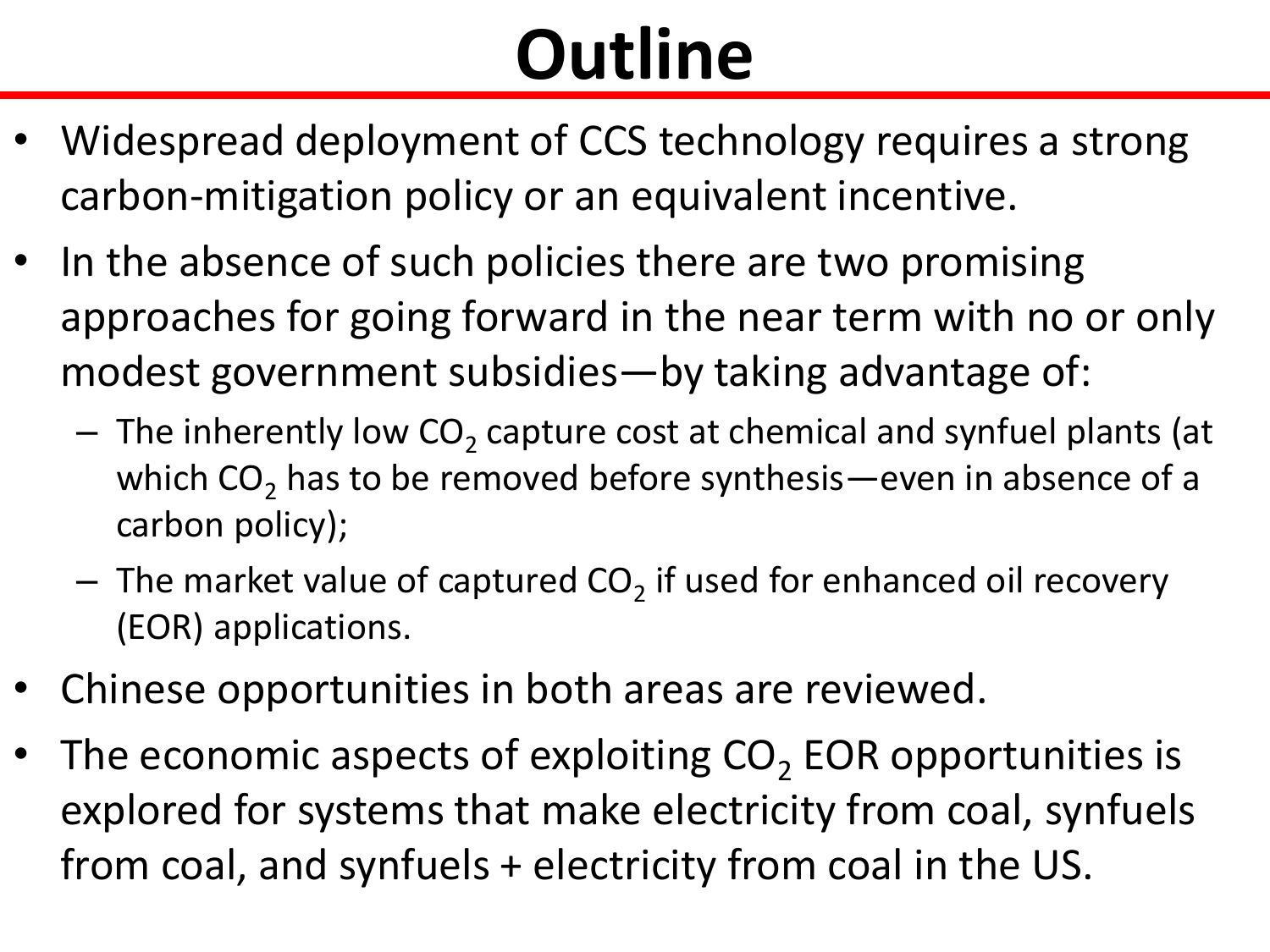## **Outline**

- Widespread deployment of CCS technology requires a strong carbon-mitigation policy or an equivalent incentive.
- In the absence of such policies there are two promising approaches for going forward in the near term with no or only modest government subsidies—by taking advantage of:
	- $-$  The inherently low CO<sub>2</sub> capture cost at chemical and synfuel plants (at which  $CO<sub>2</sub>$  has to be removed before synthesis—even in absence of a carbon policy);
	- $-$  The market value of captured CO<sub>2</sub> if used for enhanced oil recovery (EOR) applications.
- Chinese opportunities in both areas are reviewed.
- The economic aspects of exploiting  $CO<sub>2</sub>$  EOR opportunities is explored for systems that make electricity from coal, synfuels from coal, and synfuels + electricity from coal in the US.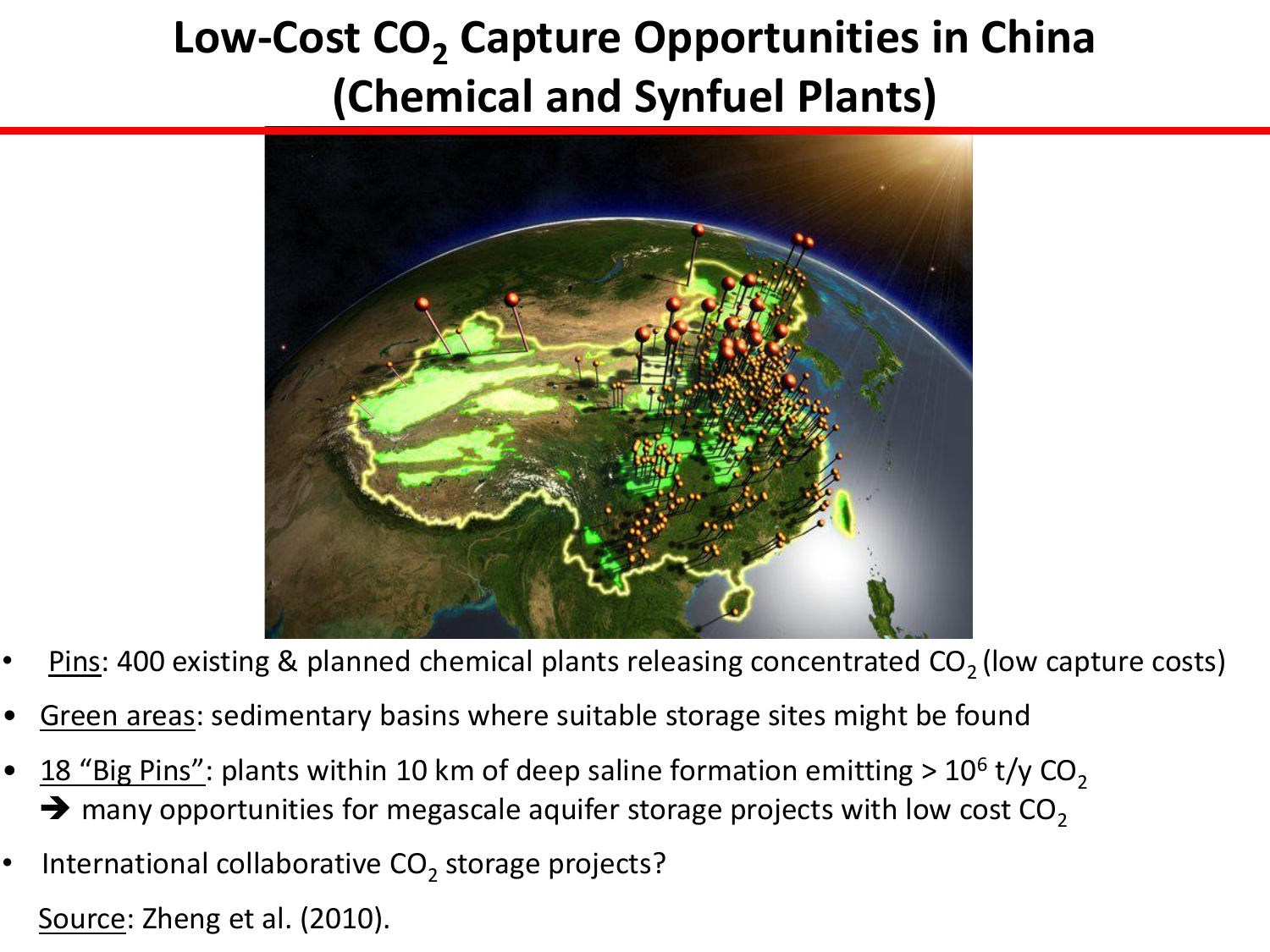#### **Low-Cost CO<sup>2</sup> Capture Opportunities in China (Chemical and Synfuel Plants)**



- Pins: 400 existing & planned chemical plants releasing concentrated  $CO<sub>2</sub>$  (low capture costs)
- Green areas: sedimentary basins where suitable storage sites might be found
- 18 "Big Pins": plants within 10 km of deep saline formation emitting >  $10^6$  t/y CO<sub>2</sub>  $\rightarrow$  many opportunities for megascale aquifer storage projects with low cost CO<sub>2</sub>
- International collaborative  $CO_2$  storage projects?

Source: Zheng et al. (2010).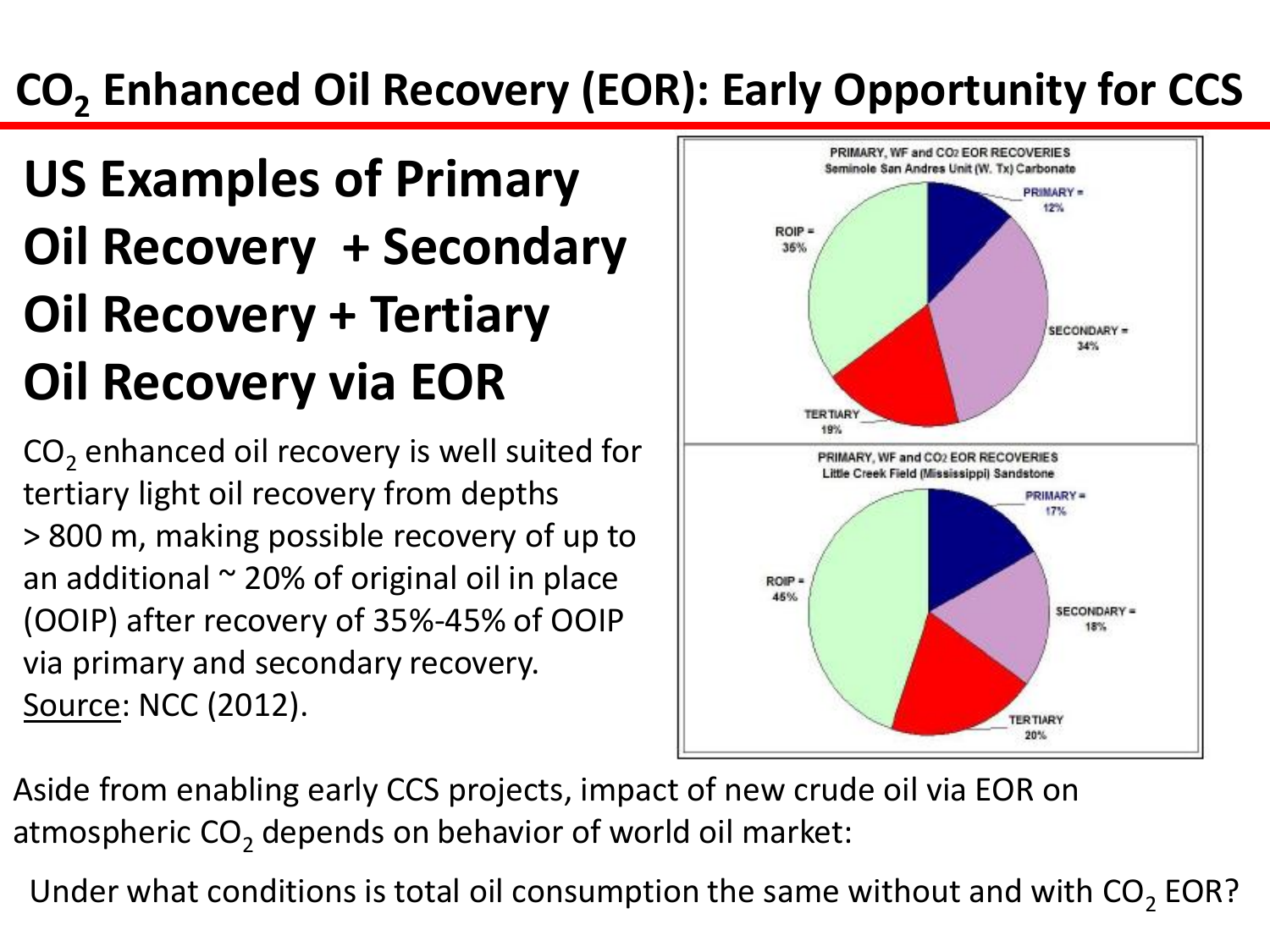## **CO<sup>2</sup> Enhanced Oil Recovery (EOR): Early Opportunity for CCS**

## **US Examples of Primary Oil Recovery + Secondary Oil Recovery + Tertiary Oil Recovery via EOR**

CO<sub>2</sub> enhanced oil recovery is well suited for tertiary light oil recovery from depths > 800 m, making possible recovery of up to an additional  $\sim$  20% of original oil in place (OOIP) after recovery of 35%-45% of OOIP via primary and secondary recovery. Source: NCC (2012).



Aside from enabling early CCS projects, impact of new crude oil via EOR on atmospheric  $CO<sub>2</sub>$  depends on behavior of world oil market:

Under what conditions is total oil consumption the same without and with  $\text{CO}_2$  EOR?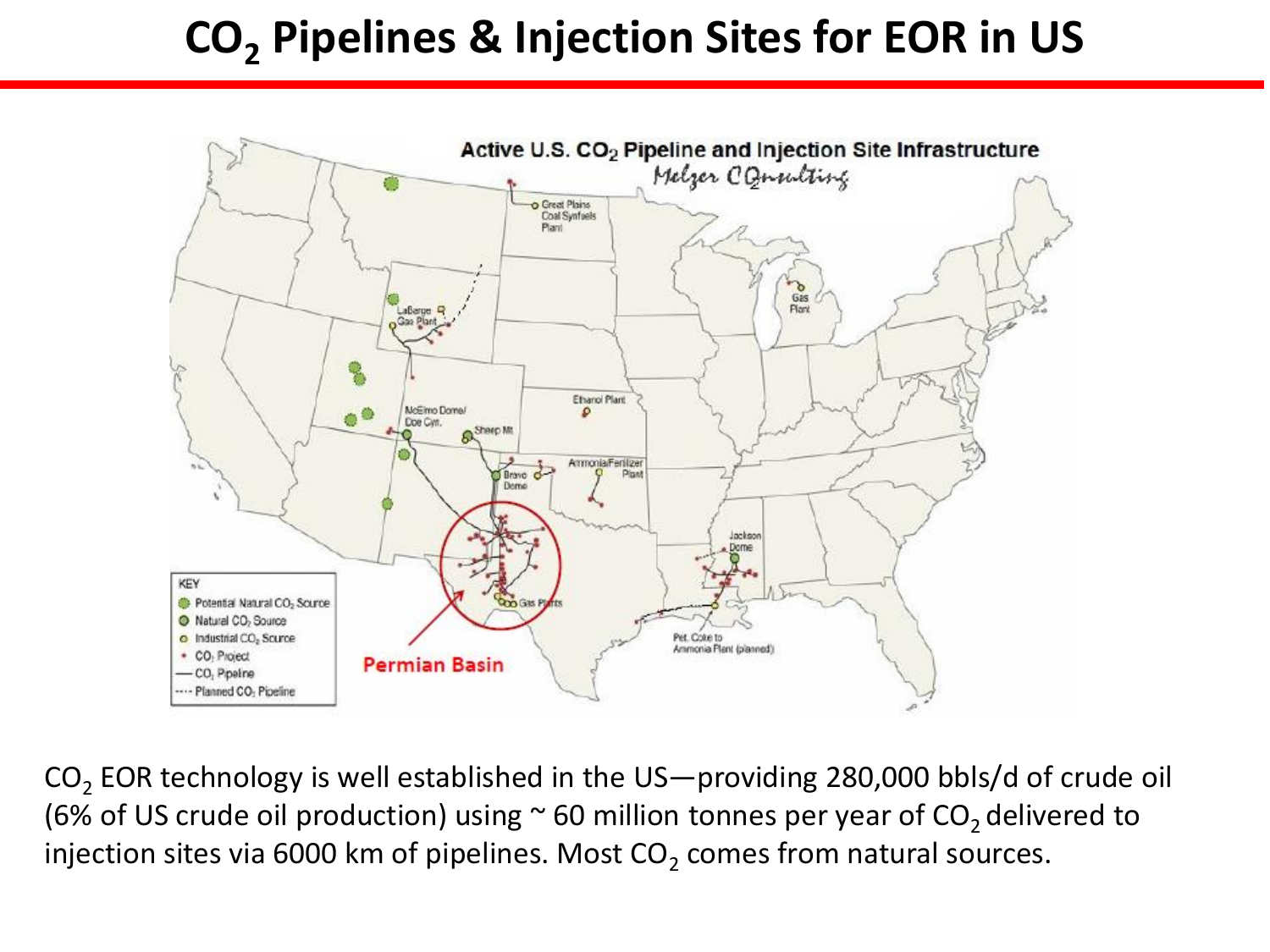#### **CO<sup>2</sup> Pipelines & Injection Sites for EOR in US**



CO<sub>2</sub> EOR technology is well established in the US—providing 280,000 bbls/d of crude oil (6% of US crude oil production) using  $\sim$  60 million tonnes per year of CO<sub>2</sub> delivered to injection sites via 6000 km of pipelines. Most CO<sub>2</sub> comes from natural sources.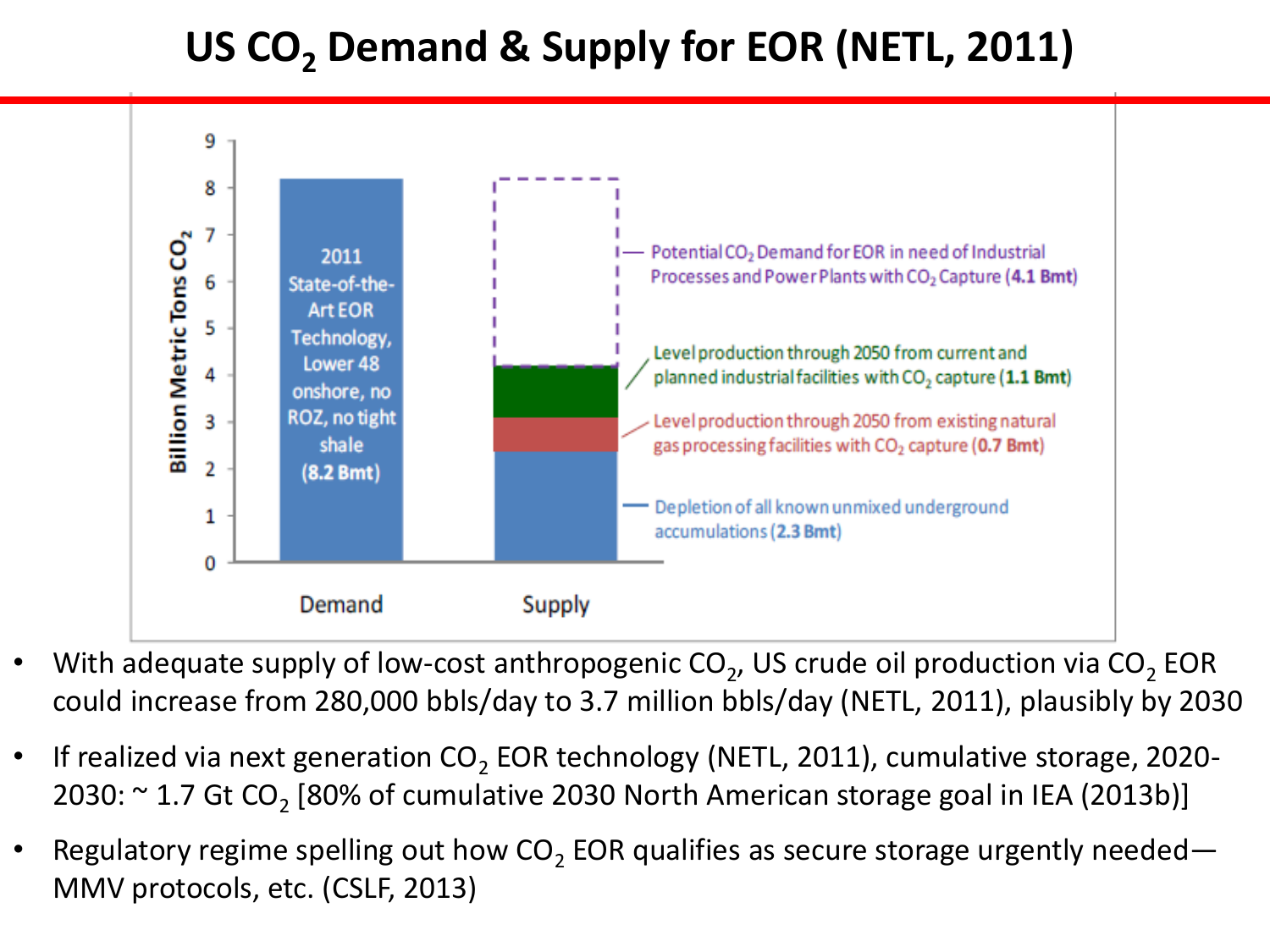#### **US CO<sup>2</sup> Demand & Supply for EOR (NETL, 2011)**



- With adequate supply of low-cost anthropogenic CO<sub>2</sub>, US crude oil production via CO<sub>2</sub> EOR could increase from 280,000 bbls/day to 3.7 million bbls/day (NETL, 2011), plausibly by 2030
- If realized via next generation  $CO_2$  EOR technology (NETL, 2011), cumulative storage, 2020-2030:  $\sim$  1.7 Gt CO<sub>2</sub> [80% of cumulative 2030 North American storage goal in IEA (2013b)]
- Regulatory regime spelling out how CO<sub>2</sub> EOR qualifies as secure storage urgently needed— MMV protocols, etc. (CSLF, 2013)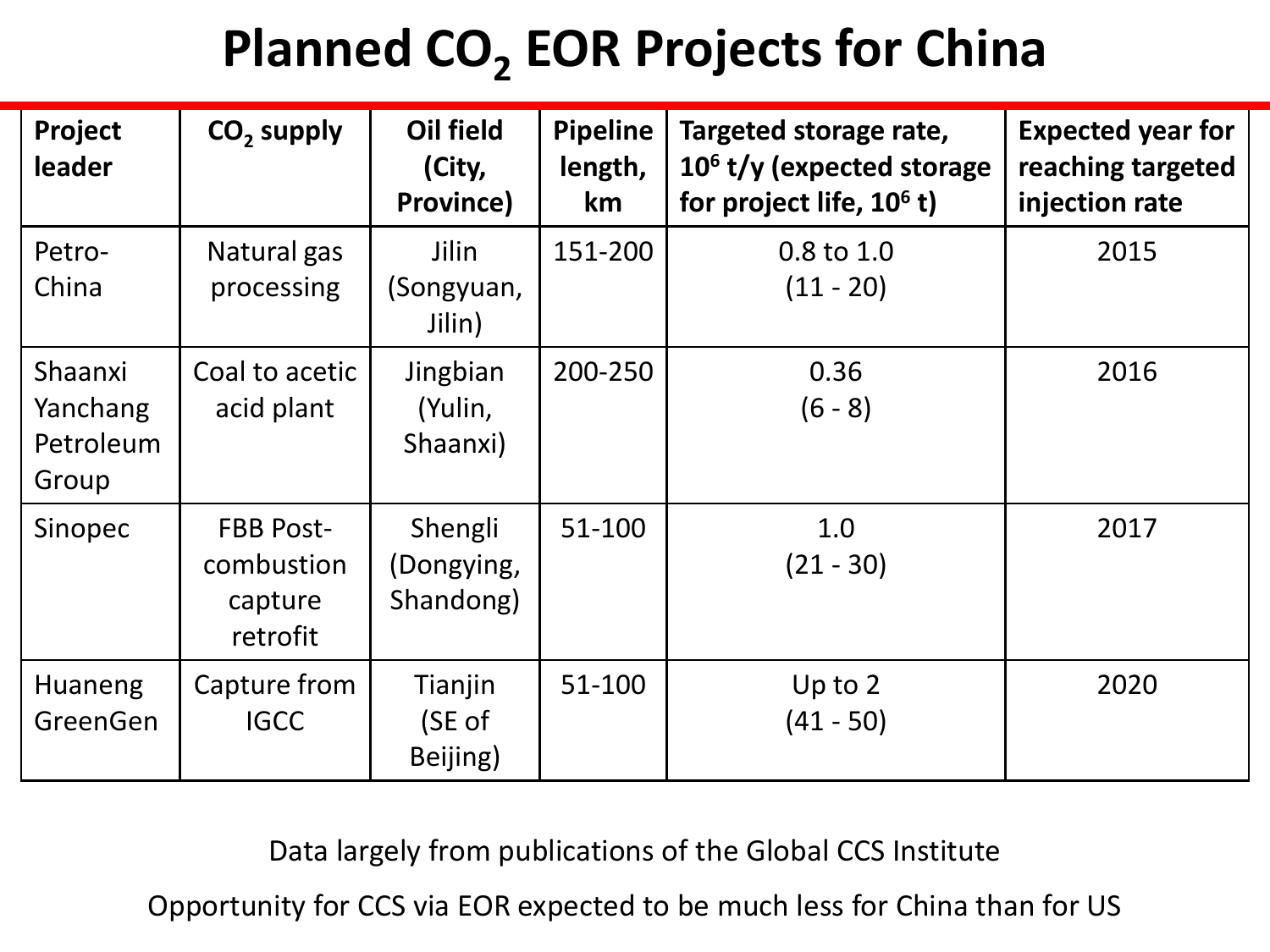## **Planned CO<sup>2</sup> EOR Projects for China**

| Project<br>leader                         | $CO2$ supply                                          | <b>Oil field</b><br>(City,<br>Province) | <b>Pipeline</b><br>length,<br>km | Targeted storage rate,<br>$106$ t/y (expected storage<br>for project life, $10^6$ t) | <b>Expected year for</b><br>reaching targeted<br>injection rate |
|-------------------------------------------|-------------------------------------------------------|-----------------------------------------|----------------------------------|--------------------------------------------------------------------------------------|-----------------------------------------------------------------|
| Petro-<br>China                           | Natural gas<br>processing                             | Jilin<br>(Songyuan,<br>Jilin)           | 151-200                          | 0.8 to 1.0<br>$(11 - 20)$                                                            | 2015                                                            |
| Shaanxi<br>Yanchang<br>Petroleum<br>Group | Coal to acetic<br>acid plant                          | Jingbian<br>(Yulin,<br>Shaanxi)         | 200-250                          | 0.36<br>$(6 - 8)$                                                                    | 2016                                                            |
| Sinopec                                   | <b>FBB Post-</b><br>combustion<br>capture<br>retrofit | Shengli<br>(Dongying,<br>Shandong)      | 51-100                           | 1.0<br>$(21 - 30)$                                                                   | 2017                                                            |
| <b>Huaneng</b><br>GreenGen                | Capture from<br><b>IGCC</b>                           | Tianjin<br>(SE of<br>Beijing)           | 51-100                           | Up to $2$<br>$(41 - 50)$                                                             | 2020                                                            |

Data largely from publications of the Global CCS Institute

Opportunity for CCS via EOR expected to be much less for China than for US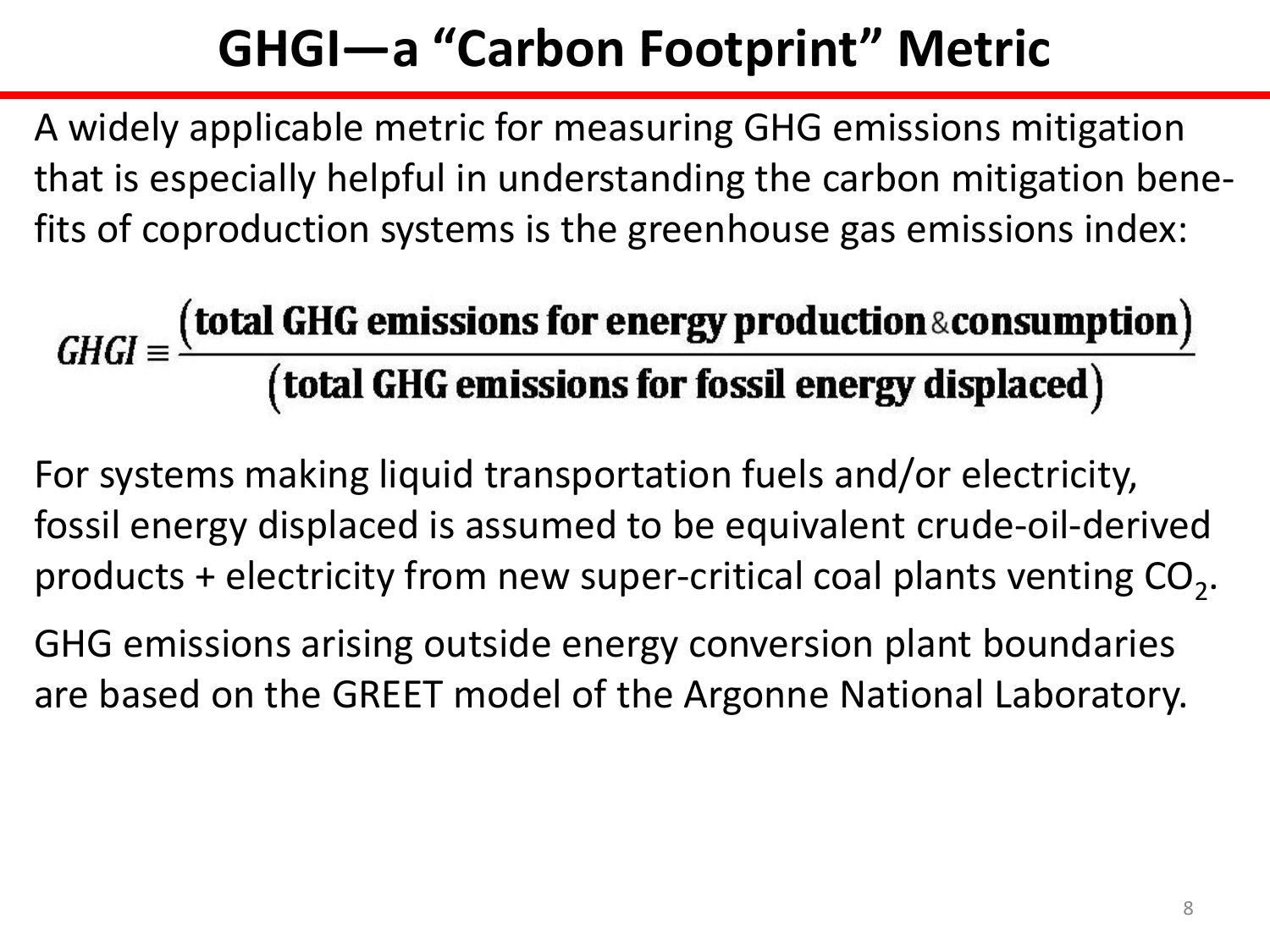## **GHGI—a "Carbon Footprint" Metric**

A widely applicable metric for measuring GHG emissions mitigation that is especially helpful in understanding the carbon mitigation benefits of coproduction systems is the greenhouse gas emissions index:

# $GHGI = \frac{(total GHG emissions for energy production \& consumption)}{(total GHG emissions for fossil energy displaced)}$

For systems making liquid transportation fuels and/or electricity, fossil energy displaced is assumed to be equivalent crude-oil-derived products + electricity from new super-critical coal plants venting  $\text{CO}_2$ .

GHG emissions arising outside energy conversion plant boundaries are based on the GREET model of the Argonne National Laboratory.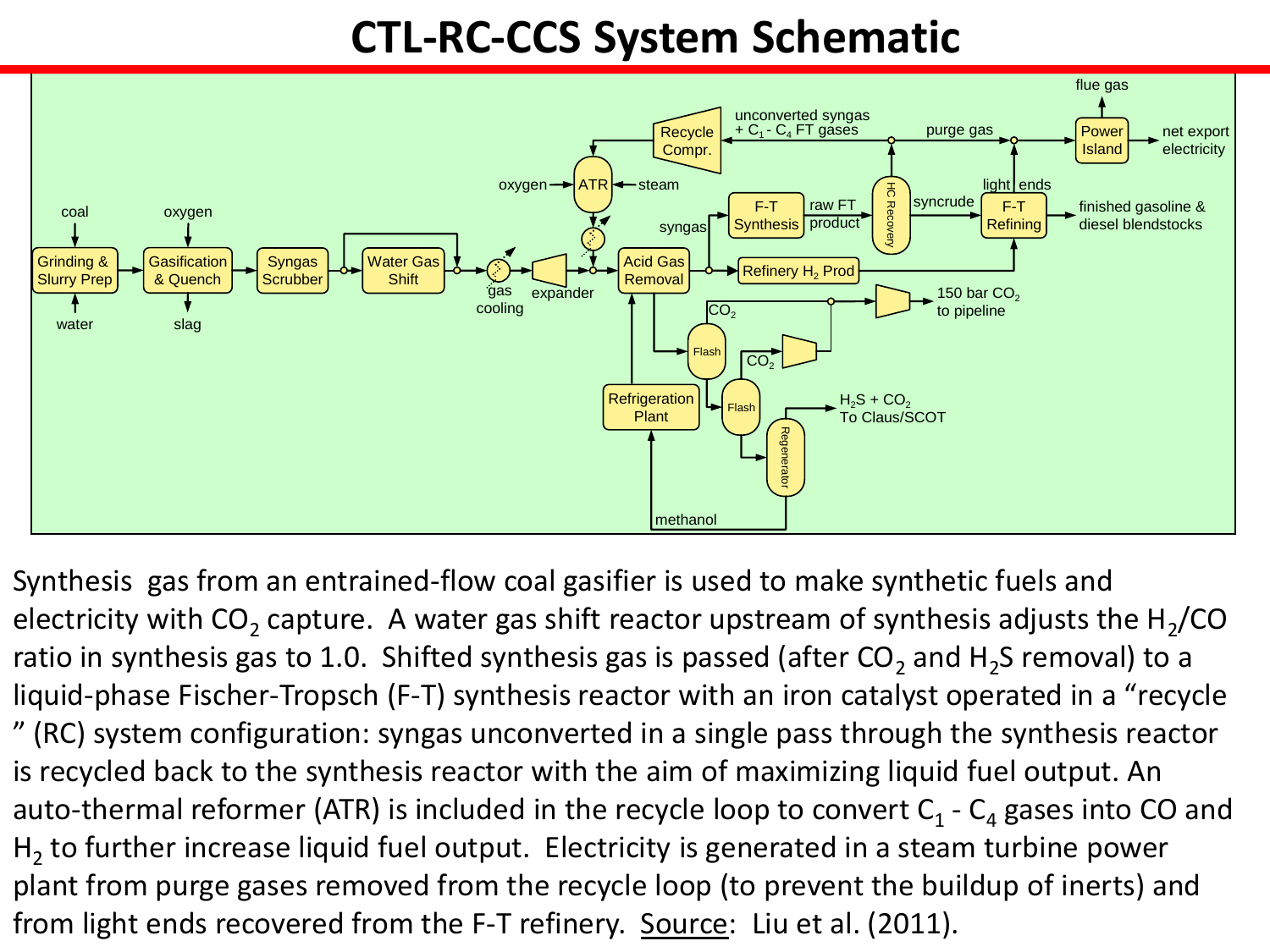#### **CTL-RC-CCS System Schematic**



Synthesis gas from an entrained-flow coal gasifier is used to make synthetic fuels and electricity with CO<sub>2</sub> capture. A water gas shift reactor upstream of synthesis adjusts the H<sub>2</sub>/CO ratio in synthesis gas to 1.0. Shifted synthesis gas is passed (after CO<sub>2</sub> and H<sub>2</sub>S removal) to a liquid-phase Fischer-Tropsch (F-T) synthesis reactor with an iron catalyst operated in a "recycle " (RC) system configuration: syngas unconverted in a single pass through the synthesis reactor is recycled back to the synthesis reactor with the aim of maximizing liquid fuel output. An auto-thermal reformer (ATR) is included in the recycle loop to convert  $C_1$  -  $C_4$  gases into CO and  $H_2$  to further increase liquid fuel output. Electricity is generated in a steam turbine power plant from purge gases removed from the recycle loop (to prevent the buildup of inerts) and from light ends recovered from the F-T refinery. Source: Liu et al. (2011).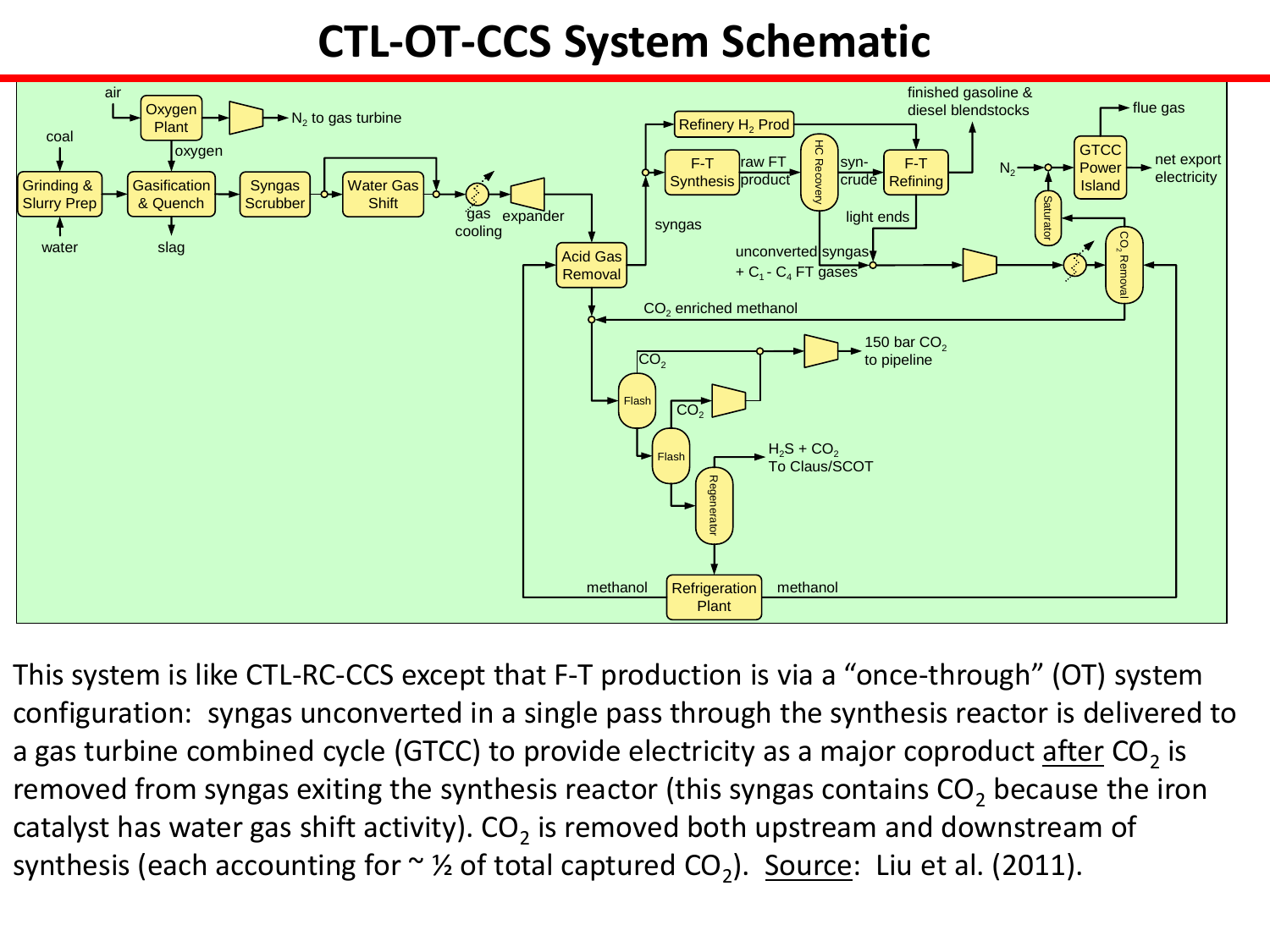#### **CTL-OT-CCS System Schematic**



This system is like CTL-RC-CCS except that F-T production is via a "once-through" (OT) system configuration: syngas unconverted in a single pass through the synthesis reactor is delivered to a gas turbine combined cycle (GTCC) to provide electricity as a major coproduct <u>after</u> CO<sub>2</sub> is removed from syngas exiting the synthesis reactor (this syngas contains  $CO<sub>2</sub>$  because the iron catalyst has water gas shift activity). CO<sub>2</sub> is removed both upstream and downstream of synthesis (each accounting for  $\sim$  1⁄2 of total captured CO<sub>2</sub>). Source: Liu et al. (2011).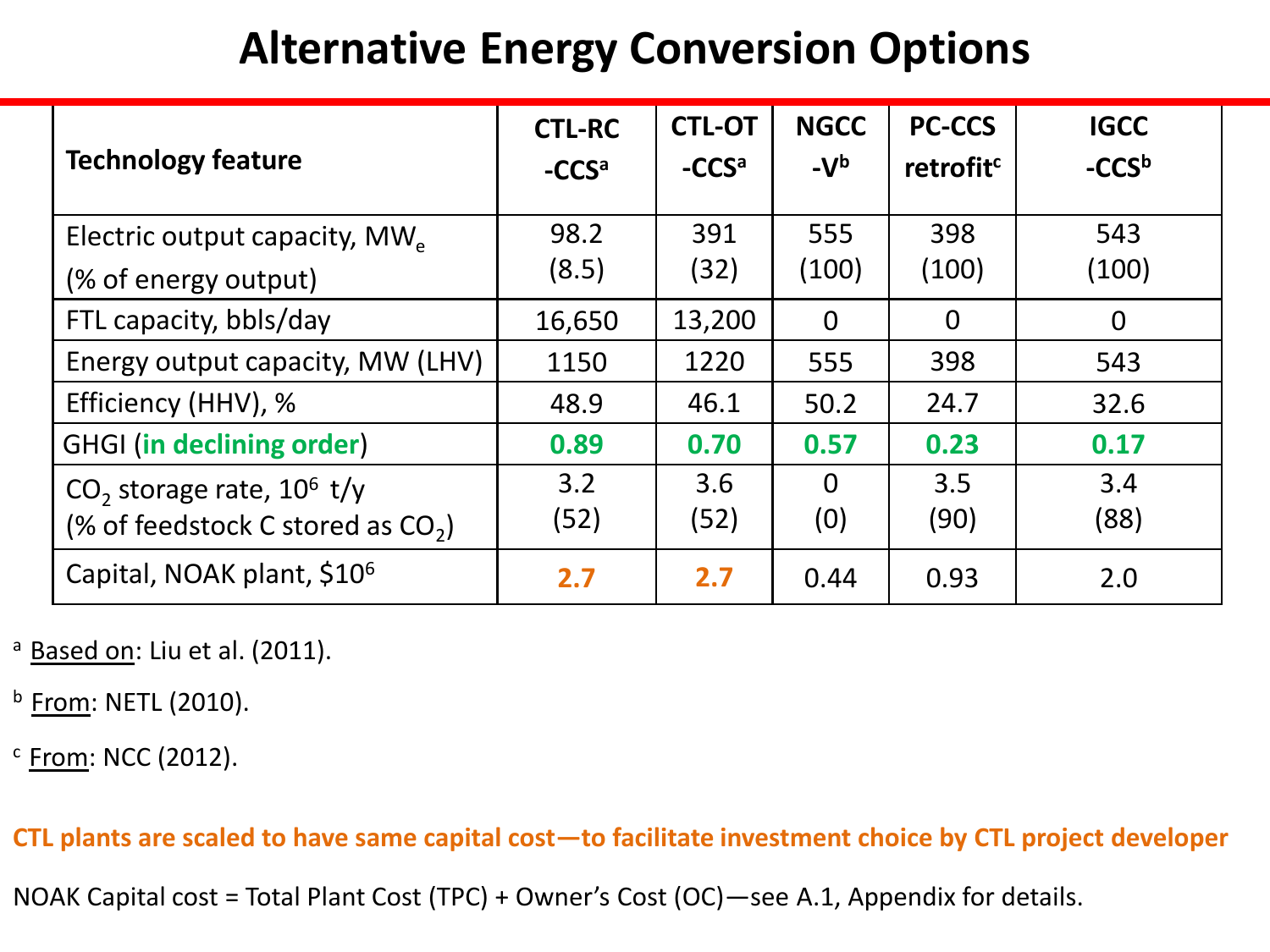#### **Alternative Energy Conversion Options**

| <b>Technology feature</b>                 | <b>CTL-RC</b><br>-CCS <sup>a</sup> | <b>CTL-OT</b><br>-CCS <sup>a</sup> | <b>NGCC</b><br>$-Vb$ | <b>PC-CCS</b><br>retrofit <sup>c</sup> | <b>IGCC</b><br>$-CCSb$ |
|-------------------------------------------|------------------------------------|------------------------------------|----------------------|----------------------------------------|------------------------|
| Electric output capacity, MW <sub>e</sub> | 98.2                               | 391                                | 555                  | 398                                    | 543                    |
| (% of energy output)                      | (8.5)                              | (32)                               | (100)                | (100)                                  | (100)                  |
| FTL capacity, bbls/day                    | 16,650                             | 13,200                             | $\Omega$             | $\Omega$                               | $\overline{0}$         |
| Energy output capacity, MW (LHV)          | 1150                               | 1220                               | 555                  | 398                                    | 543                    |
| Efficiency (HHV), %                       | 48.9                               | 46.1                               | 50.2                 | 24.7                                   | 32.6                   |
| <b>GHGI</b> (in declining order)          | 0.89                               | 0.70                               | 0.57                 | 0.23                                   | 0.17                   |
| CO <sub>2</sub> storage rate, $10^6$ t/y  | 3.2                                | 3.6                                | $\Omega$             | 3.5                                    | 3.4                    |
| (% of feedstock C stored as $CO2$ )       | (52)                               | (52)                               | (0)                  | (90)                                   | (88)                   |
| Capital, NOAK plant, \$10 <sup>6</sup>    | 2.7                                | 2.7                                | 0.44                 | 0.93                                   | 2.0                    |

<sup>a</sup> Based on: Liu et al. (2011).

 $<sup>b</sup>$  From: NETL (2010).</sup>

 $c$  From: NCC (2012).

**CTL plants are scaled to have same capital cost—to facilitate investment choice by CTL project developer**

NOAK Capital cost = Total Plant Cost (TPC) + Owner's Cost (OC)—see A.1, Appendix for details.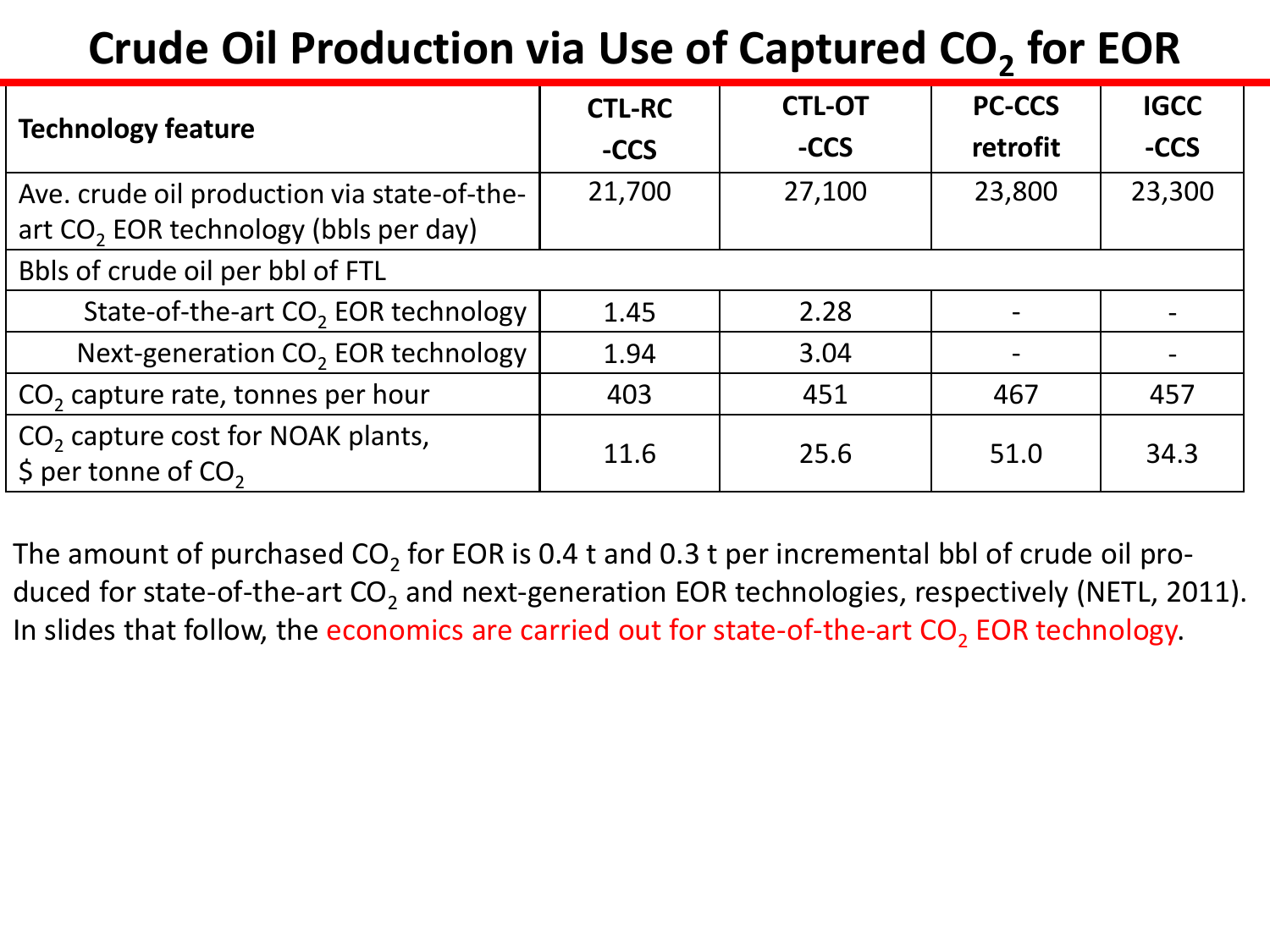## **Crude Oil Production via Use of Captured CO<sup>2</sup> for EOR**

|                                                                                             | <b>CTL-RC</b> | <b>CTL-OT</b> | <b>PC-CCS</b> | <b>IGCC</b> |
|---------------------------------------------------------------------------------------------|---------------|---------------|---------------|-------------|
| <b>Technology feature</b>                                                                   | -CCS          | -CCS          | retrofit      | -CCS        |
| Ave. crude oil production via state-of-the-                                                 | 21,700        | 27,100        | 23,800        | 23,300      |
| art CO <sub>2</sub> EOR technology (bbls per day)                                           |               |               |               |             |
| Bbls of crude oil per bbl of FTL                                                            |               |               |               |             |
| State-of-the-art CO <sub>2</sub> EOR technology                                             | 1.45          | 2.28          |               |             |
| Next-generation CO <sub>2</sub> EOR technology                                              | 1.94          | 3.04          |               |             |
| $CO2$ capture rate, tonnes per hour                                                         | 403           | 451           | 467           | 457         |
| CO <sub>2</sub> capture cost for NOAK plants,<br>$\frac{1}{2}$ per tonne of CO <sub>2</sub> | 11.6          | 25.6          | 51.0          | 34.3        |

The amount of purchased CO<sub>2</sub> for EOR is 0.4 t and 0.3 t per incremental bbl of crude oil produced for state-of-the-art CO<sub>2</sub> and next-generation EOR technologies, respectively (NETL, 2011). In slides that follow, the economics are carried out for state-of-the-art  $\textsf{CO}_2$  EOR technology.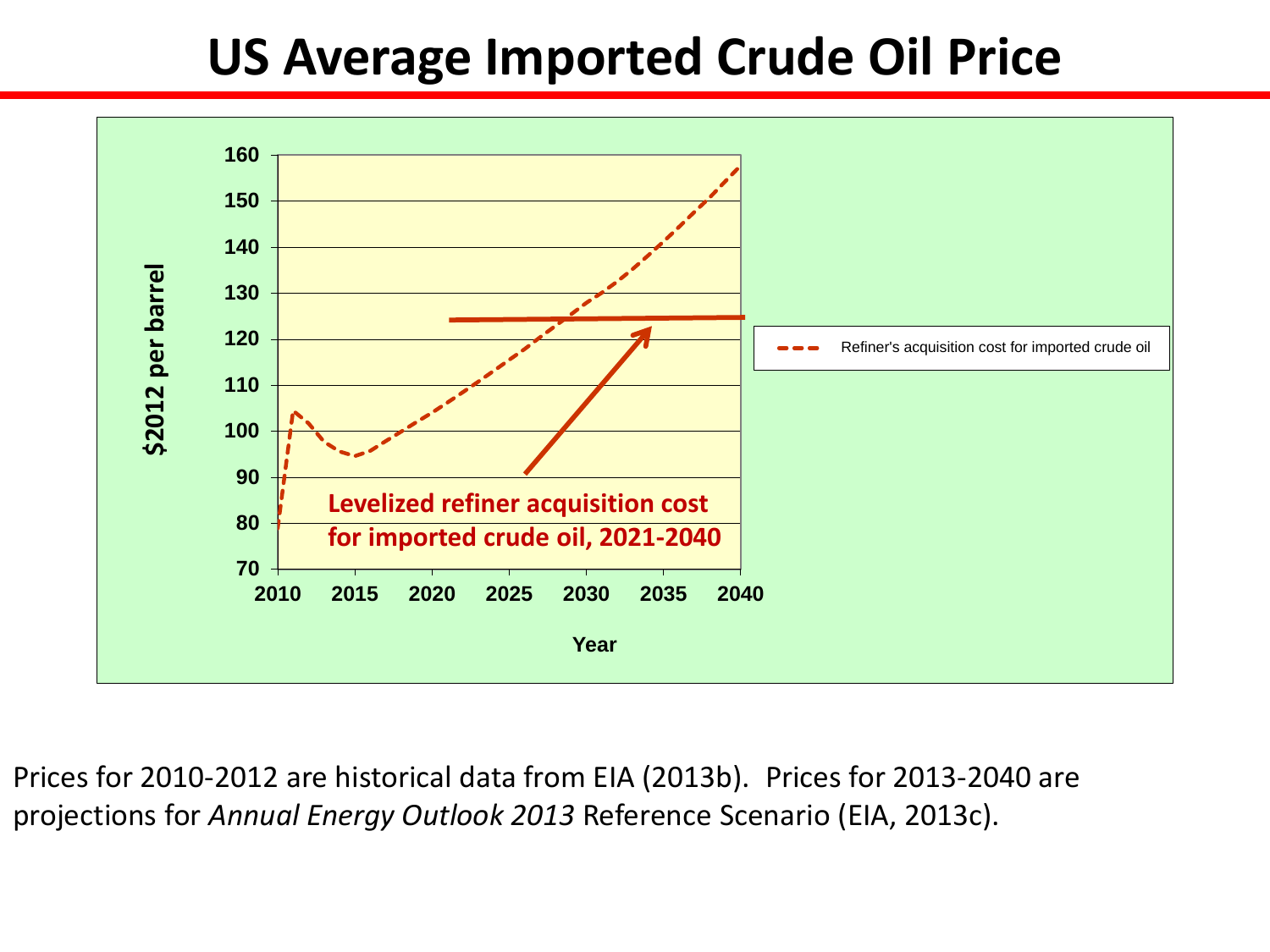### **US Average Imported Crude Oil Price**



Prices for 2010-2012 are historical data from EIA (2013b). Prices for 2013-2040 are projections for *Annual Energy Outlook 2013* Reference Scenario (EIA, 2013c).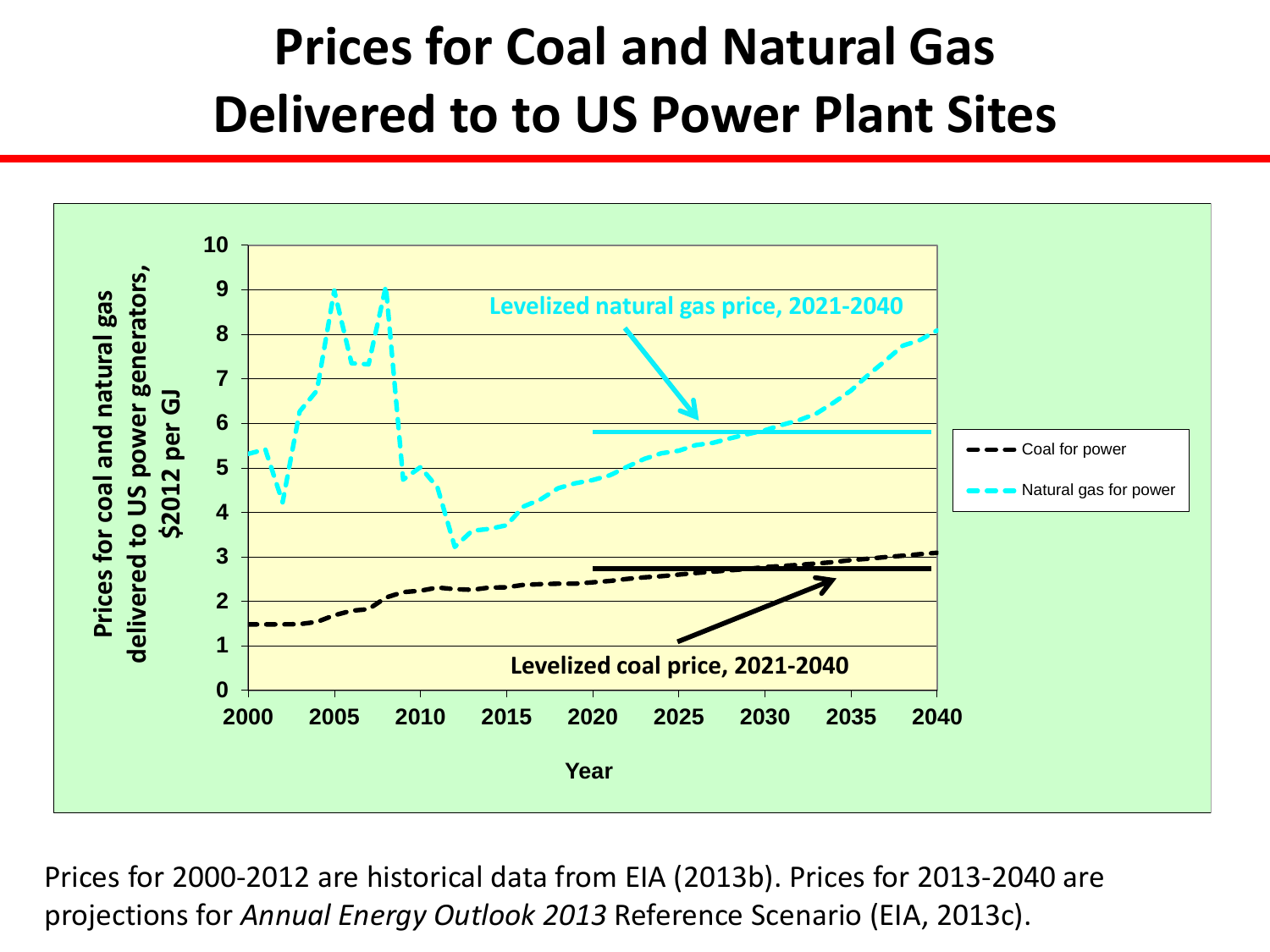## **Prices for Coal and Natural Gas Delivered to to US Power Plant Sites**



Prices for 2000-2012 are historical data from EIA (2013b). Prices for 2013-2040 are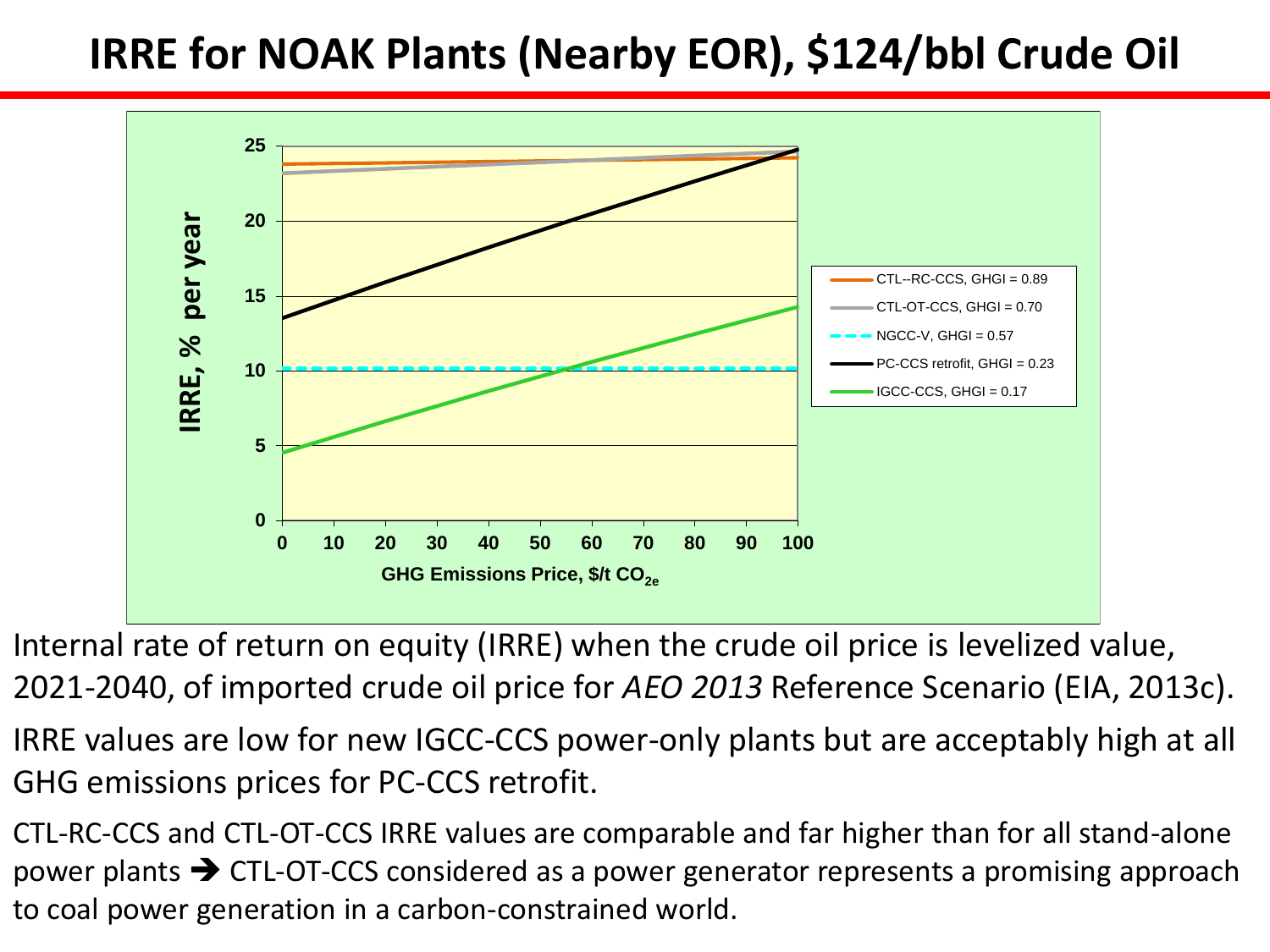#### **IRRE for NOAK Plants (Nearby EOR), \$124/bbl Crude Oil**



Internal rate of return on equity (IRRE) when the crude oil price is levelized value, 2021-2040, of imported crude oil price for *AEO 2013* Reference Scenario (EIA, 2013c).

IRRE values are low for new IGCC-CCS power-only plants but are acceptably high at all GHG emissions prices for PC-CCS retrofit.

CTL-RC-CCS and CTL-OT-CCS IRRE values are comparable and far higher than for all stand-alone power plants  $\rightarrow$  CTL-OT-CCS considered as a power generator represents a promising approach to coal power generation in a carbon-constrained world.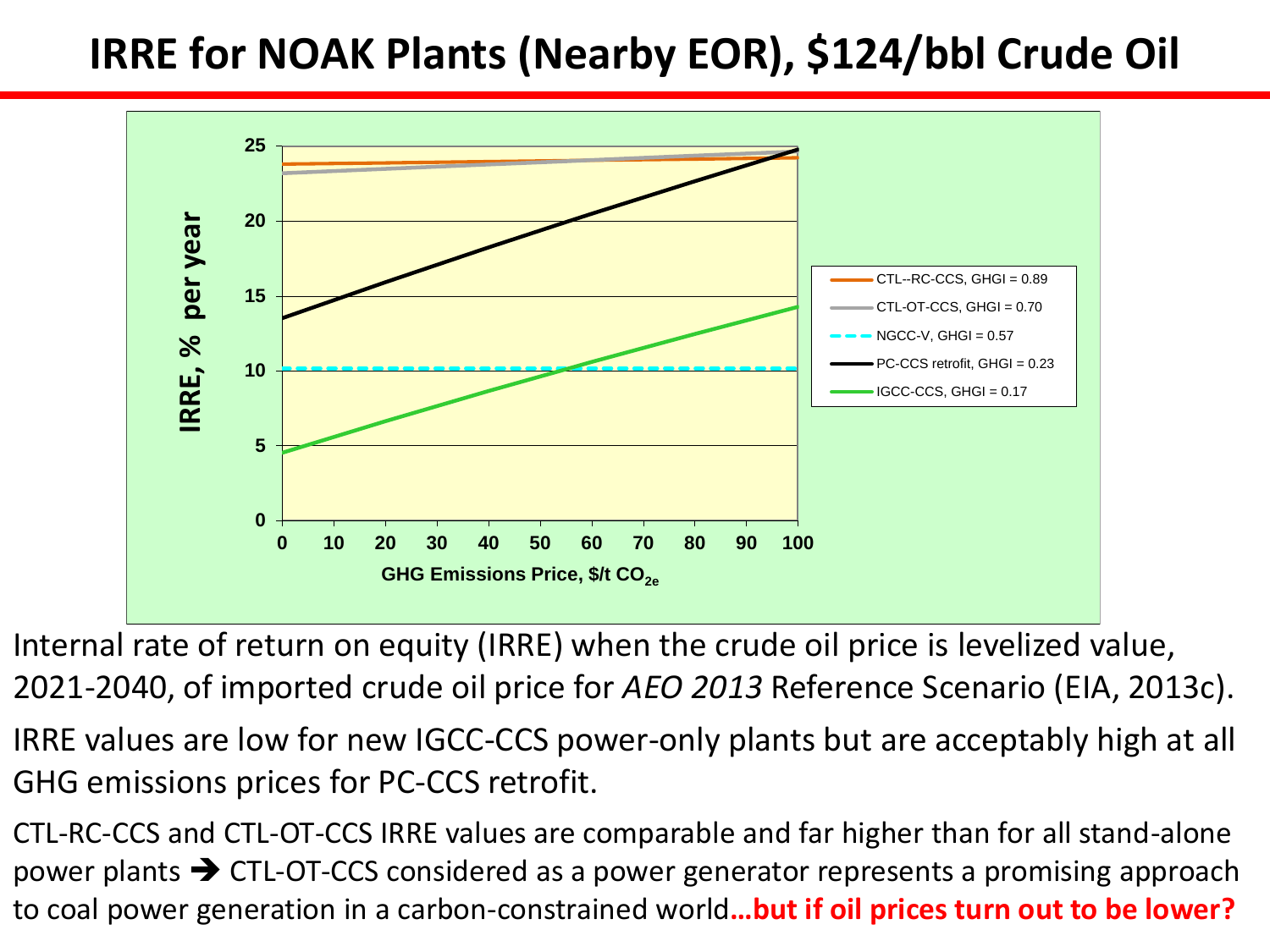#### **IRRE for NOAK Plants (Nearby EOR), \$124/bbl Crude Oil**



Internal rate of return on equity (IRRE) when the crude oil price is levelized value, 2021-2040, of imported crude oil price for *AEO 2013* Reference Scenario (EIA, 2013c).

IRRE values are low for new IGCC-CCS power-only plants but are acceptably high at all GHG emissions prices for PC-CCS retrofit.

CTL-RC-CCS and CTL-OT-CCS IRRE values are comparable and far higher than for all stand-alone power plants  $\rightarrow$  CTL-OT-CCS considered as a power generator represents a promising approach to coal power generation in a carbon-constrained world**…but if oil prices turn out to be lower?**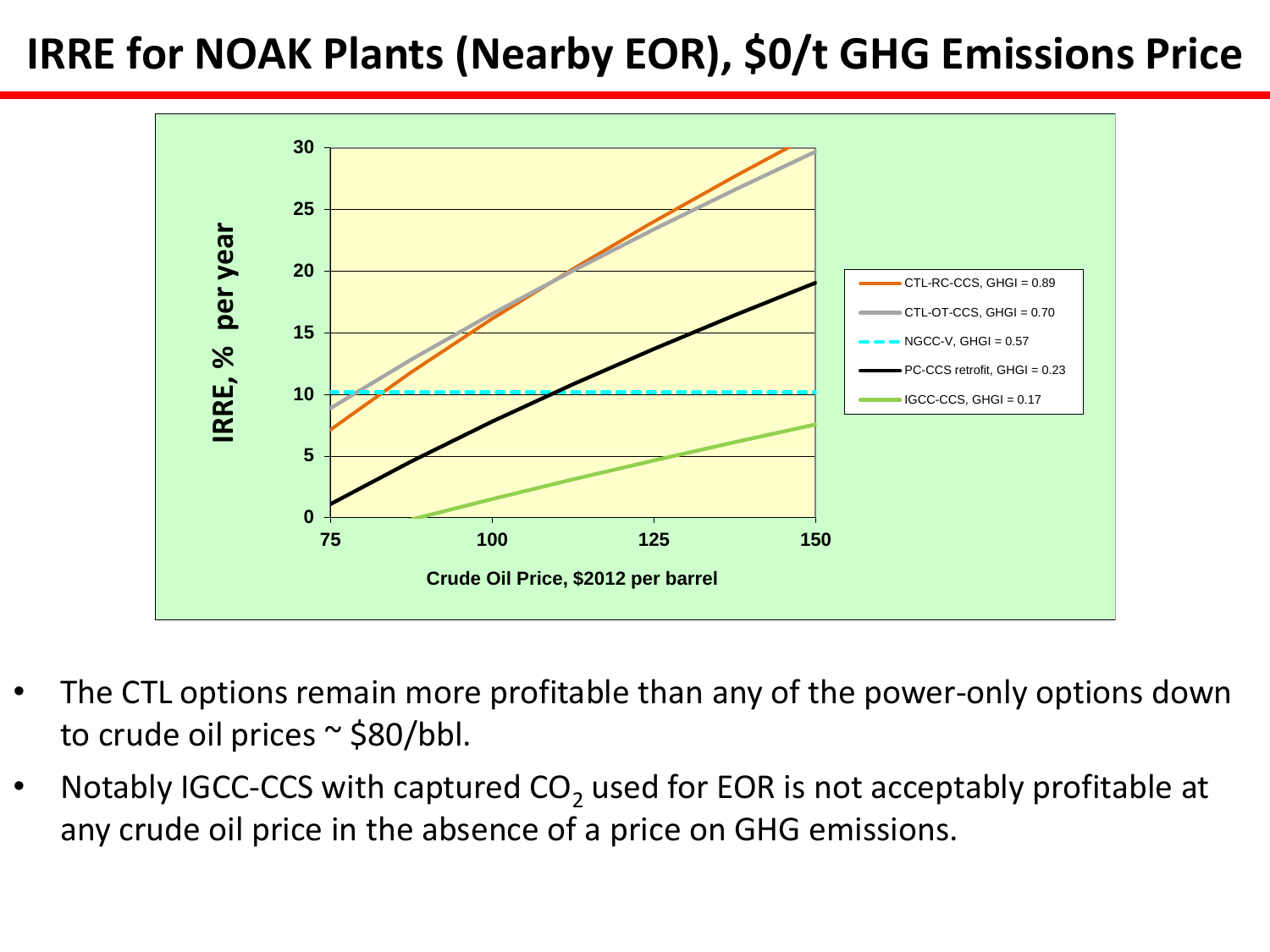#### **IRRE for NOAK Plants (Nearby EOR), \$0/t GHG Emissions Price**



- The CTL options remain more profitable than any of the power-only options down to crude oil prices ~ \$80/bbl.
- Notably IGCC-CCS with captured  $CO<sub>2</sub>$  used for EOR is not acceptably profitable at any crude oil price in the absence of a price on GHG emissions.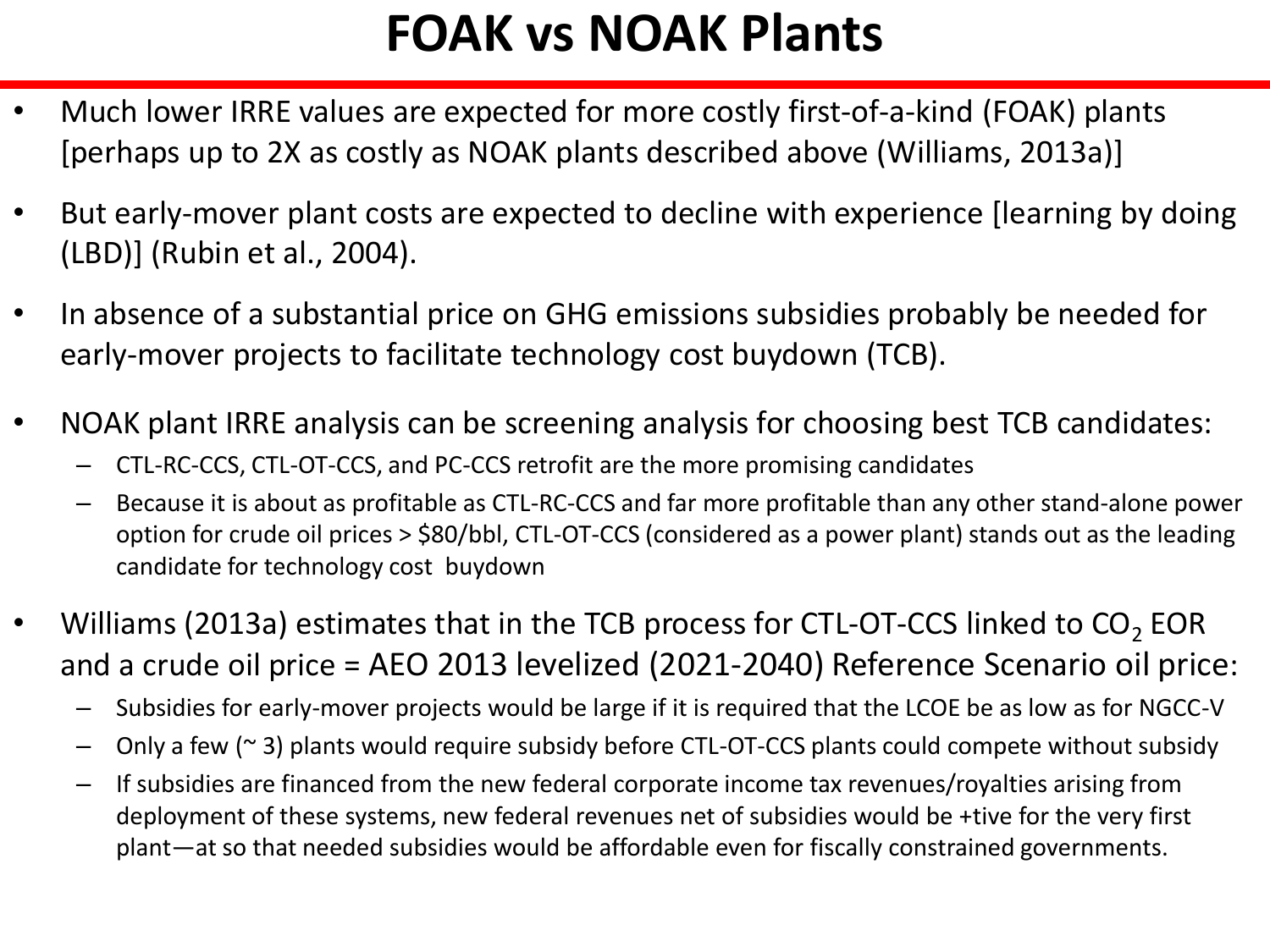## **FOAK vs NOAK Plants**

- Much lower IRRE values are expected for more costly first-of-a-kind (FOAK) plants [perhaps up to 2X as costly as NOAK plants described above (Williams, 2013a)]
- But early-mover plant costs are expected to decline with experience [learning by doing (LBD)] (Rubin et al., 2004).
- In absence of a substantial price on GHG emissions subsidies probably be needed for early-mover projects to facilitate technology cost buydown (TCB).
- NOAK plant IRRE analysis can be screening analysis for choosing best TCB candidates:
	- CTL-RC-CCS, CTL-OT-CCS, and PC-CCS retrofit are the more promising candidates
	- Because it is about as profitable as CTL-RC-CCS and far more profitable than any other stand-alone power option for crude oil prices > \$80/bbl, CTL-OT-CCS (considered as a power plant) stands out as the leading candidate for technology cost buydown
- Williams (2013a) estimates that in the TCB process for CTL-OT-CCS linked to  $CO_2$  EOR and a crude oil price = AEO 2013 levelized (2021-2040) Reference Scenario oil price:
	- Subsidies for early-mover projects would be large if it is required that the LCOE be as low as for NGCC-V
	- Only a few ( $\approx$  3) plants would require subsidy before CTL-OT-CCS plants could compete without subsidy
	- If subsidies are financed from the new federal corporate income tax revenues/royalties arising from deployment of these systems, new federal revenues net of subsidies would be +tive for the very first plant—at so that needed subsidies would be affordable even for fiscally constrained governments.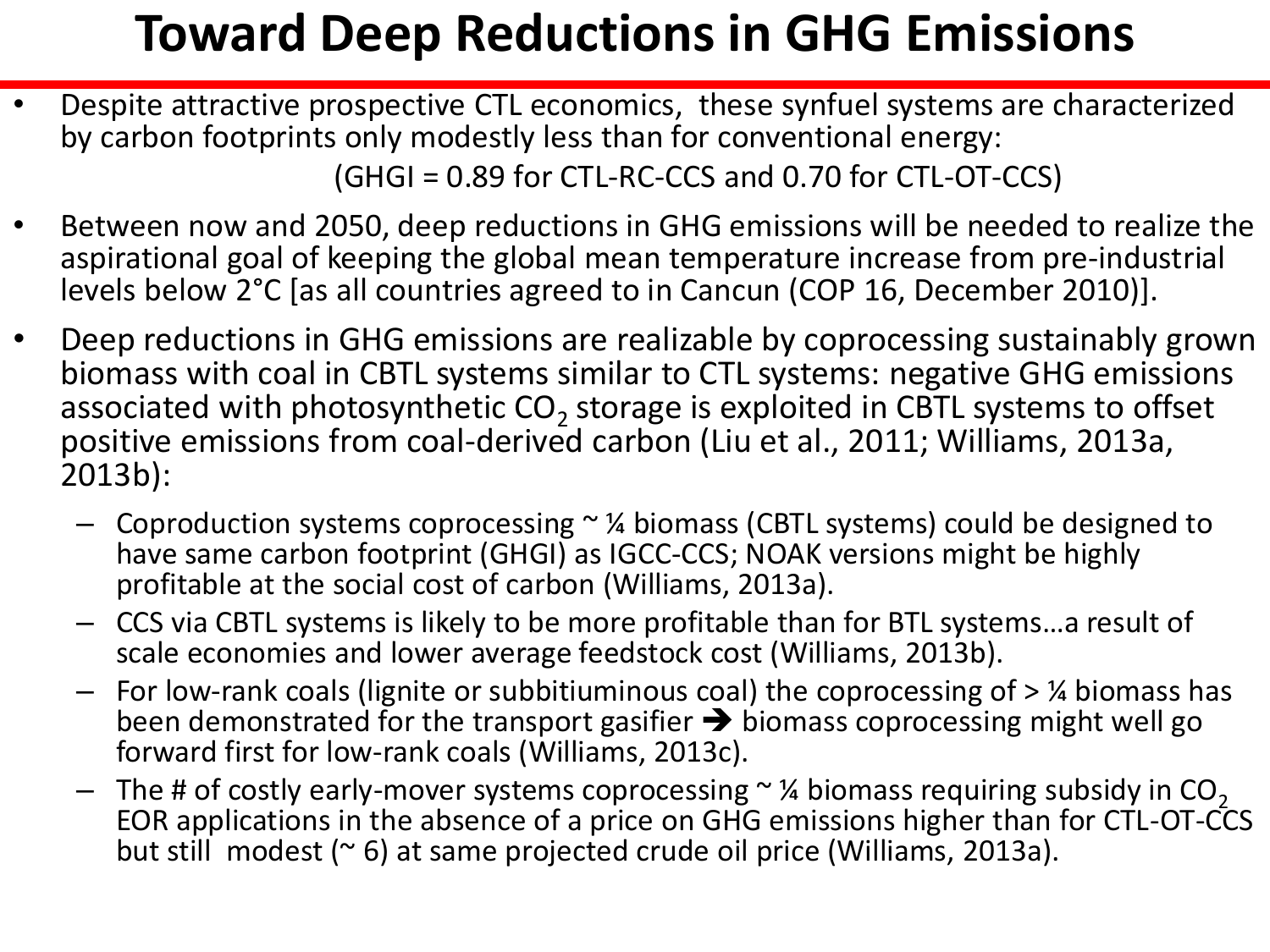## **Toward Deep Reductions in GHG Emissions**

• Despite attractive prospective CTL economics, these synfuel systems are characterized by carbon footprints only modestly less than for conventional energy:

(GHGI = 0.89 for CTL-RC-CCS and 0.70 for CTL-OT-CCS)

- Between now and 2050, deep reductions in GHG emissions will be needed to realize the aspirational goal of keeping the global mean temperature increase from pre-industrial levels below 2°C [as all countries agreed to in Cancun (COP 16, December 2010)].
- Deep reductions in GHG emissions are realizable by coprocessing sustainably grown biomass with coal in CBTL systems similar to CTL systems: negative GHG emissions associated with photosynthetic  $CO_2$  storage is exploited in CBTL systems to offset positive emissions from coal-derived carbon (Liu et al., 2011; Williams, 2013a, 2013b):
	- Coproduction systems coprocessing ~ ¼ biomass (CBTL systems) could be designed to have same carbon footprint (GHGI) as IGCC-CCS; NOAK versions might be highly profitable at the social cost of carbon (Williams, 2013a).
	- CCS via CBTL systems is likely to be more profitable than for BTL systems…a result of scale economies and lower average feedstock cost (Williams, 2013b).
	- For low-rank coals (lignite or subbitiuminous coal) the coprocessing of > ¼ biomass has been demonstrated for the transport gasifier  $\rightarrow$  biomass coprocessing might well go forward first for low-rank coals (Williams, 2013c).
	- The # of costly early-mover systems coprocessing  $\sim$  % biomass requiring subsidy in CO<sub>2</sub> EOR applications in the absence of a price on GHG emissions higher than for CTL-OT-CCS but still modest  $(° 6)$  at same projected crude oil price (Williams, 2013a).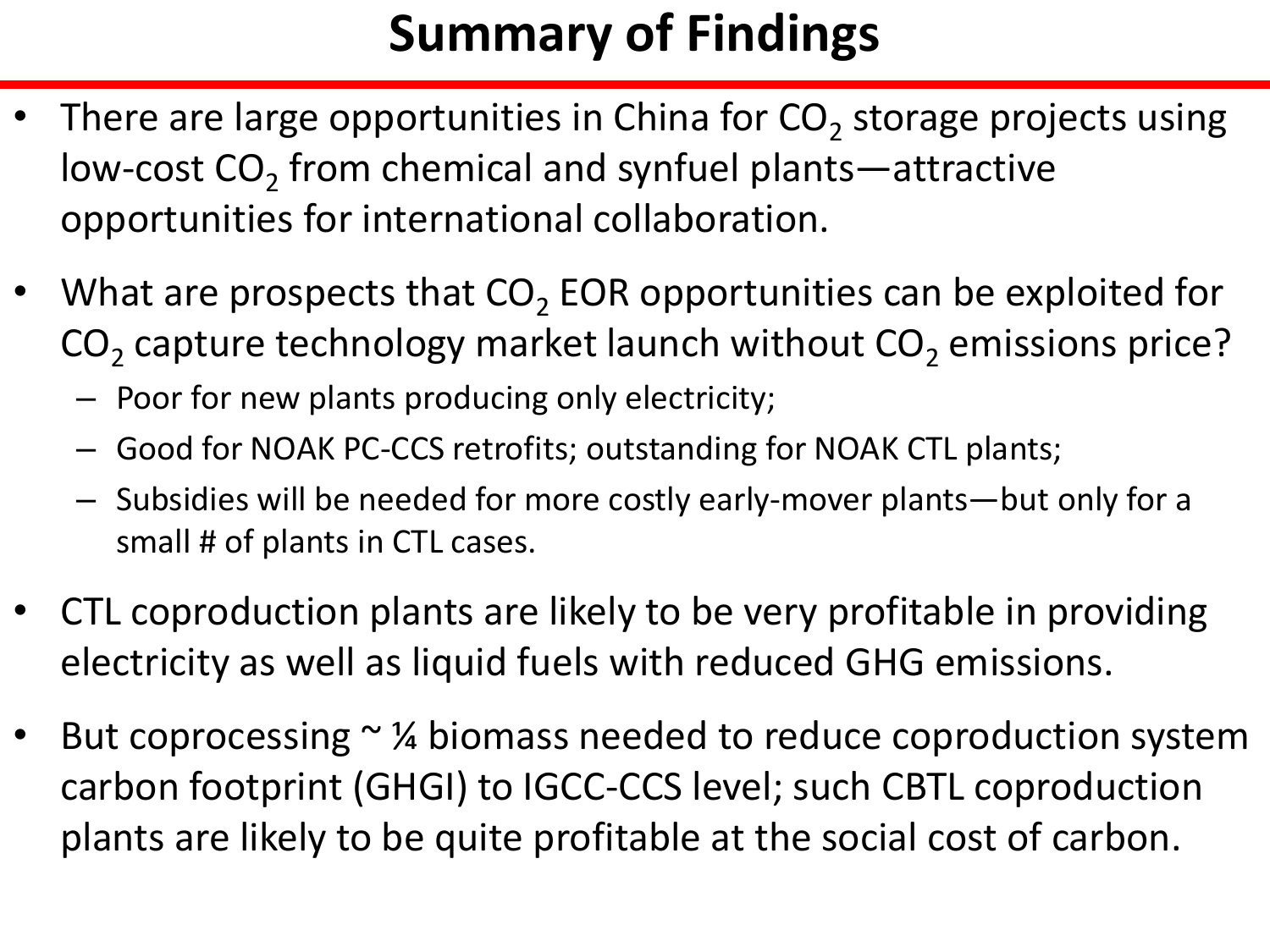## **Summary of Findings**

- There are large opportunities in China for  $CO_2$  storage projects using low-cost  $CO_2$  from chemical and synfuel plants—attractive opportunities for international collaboration.
- What are prospects that  $CO<sub>2</sub>$  EOR opportunities can be exploited for  $\mathsf{CO}_2$  capture technology market launch without  $\mathsf{CO}_2$  emissions price?
	- Poor for new plants producing only electricity;
	- Good for NOAK PC-CCS retrofits; outstanding for NOAK CTL plants;
	- Subsidies will be needed for more costly early-mover plants—but only for a small # of plants in CTL cases.
- CTL coproduction plants are likely to be very profitable in providing electricity as well as liquid fuels with reduced GHG emissions.
- But coprocessing  $\sim$  % biomass needed to reduce coproduction system carbon footprint (GHGI) to IGCC-CCS level; such CBTL coproduction plants are likely to be quite profitable at the social cost of carbon.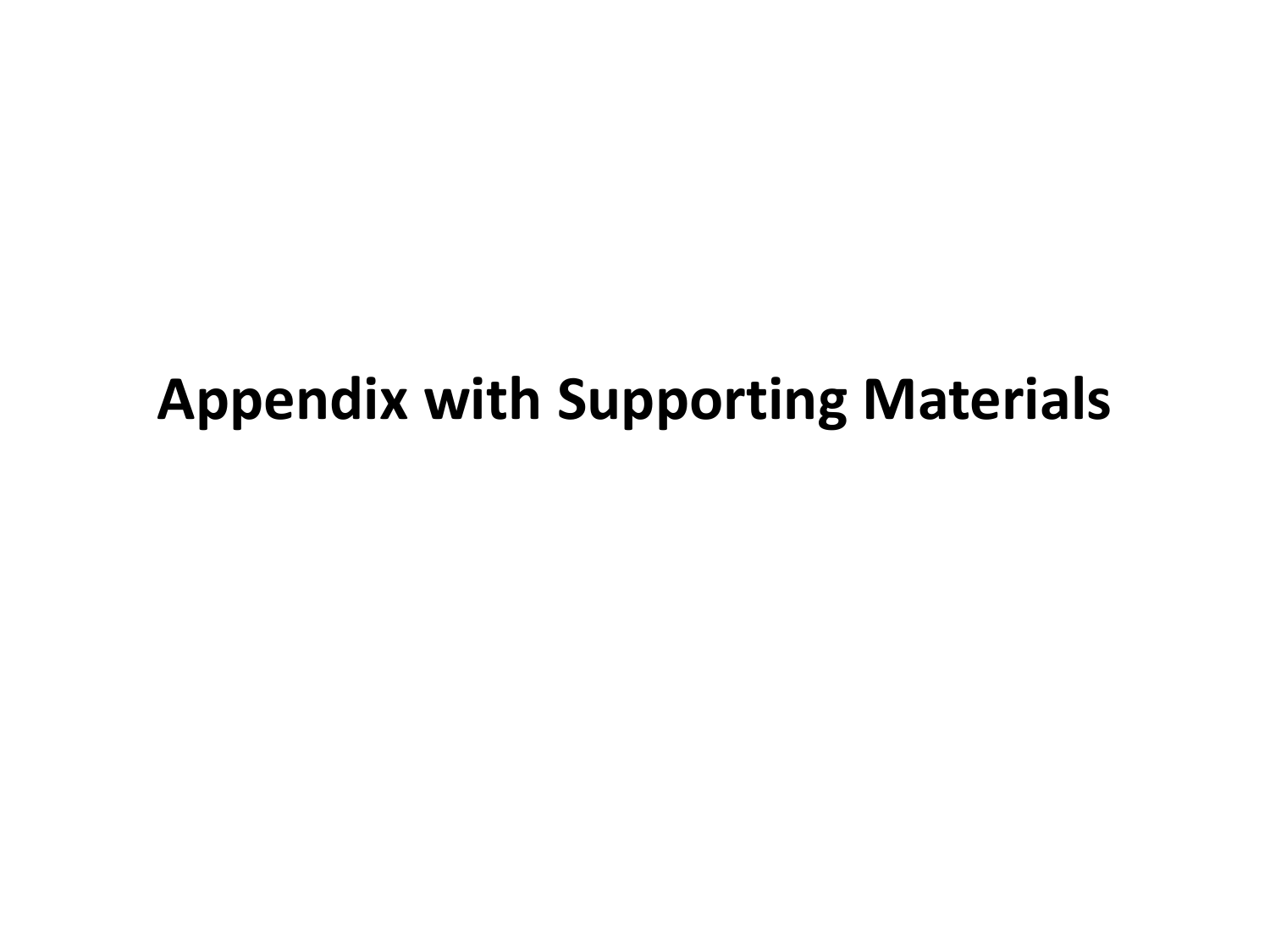## **Appendix with Supporting Materials**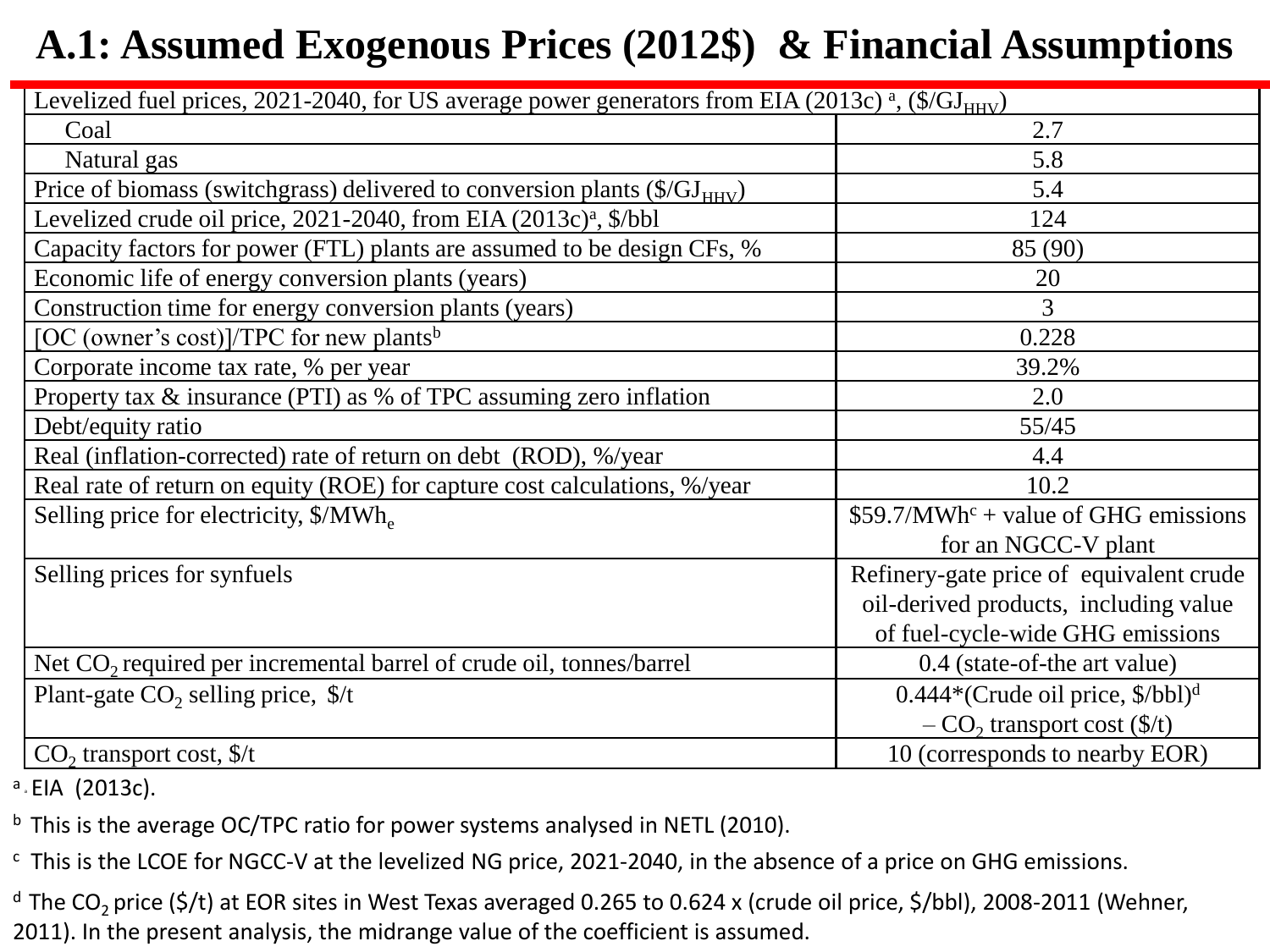#### **A.1: Assumed Exogenous Prices (2012\$) & Financial Assumptions**

| Levelized fuel prices, $2021-2040$ , for US average power generators from EIA (2013c) <sup>a</sup> , (\$/GJ <sub>HHV</sub> ) |                                            |
|------------------------------------------------------------------------------------------------------------------------------|--------------------------------------------|
| Coal                                                                                                                         | 2.7                                        |
| Natural gas                                                                                                                  | 5.8                                        |
| Price of biomass (switchgrass) delivered to conversion plants $(\frac{C}{J_{HHV}})$                                          | 5.4                                        |
| Levelized crude oil price, $2021-2040$ , from EIA $(2013c)a$ , $\frac{6}{2}$ bbl                                             | 124                                        |
| Capacity factors for power (FTL) plants are assumed to be design CFs, %                                                      | 85 (90)                                    |
| Economic life of energy conversion plants (years)                                                                            | 20                                         |
| Construction time for energy conversion plants (years)                                                                       | 3                                          |
| [OC (owner's cost)]/TPC for new plants <sup>b</sup>                                                                          | 0.228                                      |
| Corporate income tax rate, % per year                                                                                        | 39.2%                                      |
| Property tax & insurance (PTI) as % of TPC assuming zero inflation                                                           | 2.0                                        |
| Debt/equity ratio                                                                                                            | 55/45                                      |
| Real (inflation-corrected) rate of return on debt (ROD), %/year                                                              | 4.4                                        |
| Real rate of return on equity (ROE) for capture cost calculations, %/year                                                    | 10.2                                       |
| Selling price for electricity, \$/MWh.                                                                                       | $$59.7/MWhc + value of GHG emissions$      |
|                                                                                                                              | for an NGCC-V plant                        |
| Selling prices for synfuels                                                                                                  | Refinery-gate price of equivalent crude    |
|                                                                                                                              | oil-derived products, including value      |
|                                                                                                                              | of fuel-cycle-wide GHG emissions           |
| Net $CO2$ required per incremental barrel of crude oil, tonnes/barrel                                                        | 0.4 (state-of-the art value)               |
| Plant-gate $CO2$ selling price, $\frac{f}{f}$                                                                                | $0.444*(Crude oil price, \frac{8}{bbl})^d$ |
|                                                                                                                              | $-CO2$ transport cost (\$/t)               |
| $CO2$ transport cost, \$/t                                                                                                   | 10 (corresponds to nearby EOR)             |

<sup>a</sup> EIA (2013c).

 $b$  This is the average OC/TPC ratio for power systems analysed in NETL (2010).

c This is the LCOE for NGCC-V at the levelized NG price, 2021-2040, in the absence of a price on GHG emissions.

 $d$  The CO<sub>2</sub> price (\$/t) at EOR sites in West Texas averaged 0.265 to 0.624 x (crude oil price, \$/bbl), 2008-2011 (Wehner, 2011). In the present analysis, the midrange value of the coefficient is assumed.